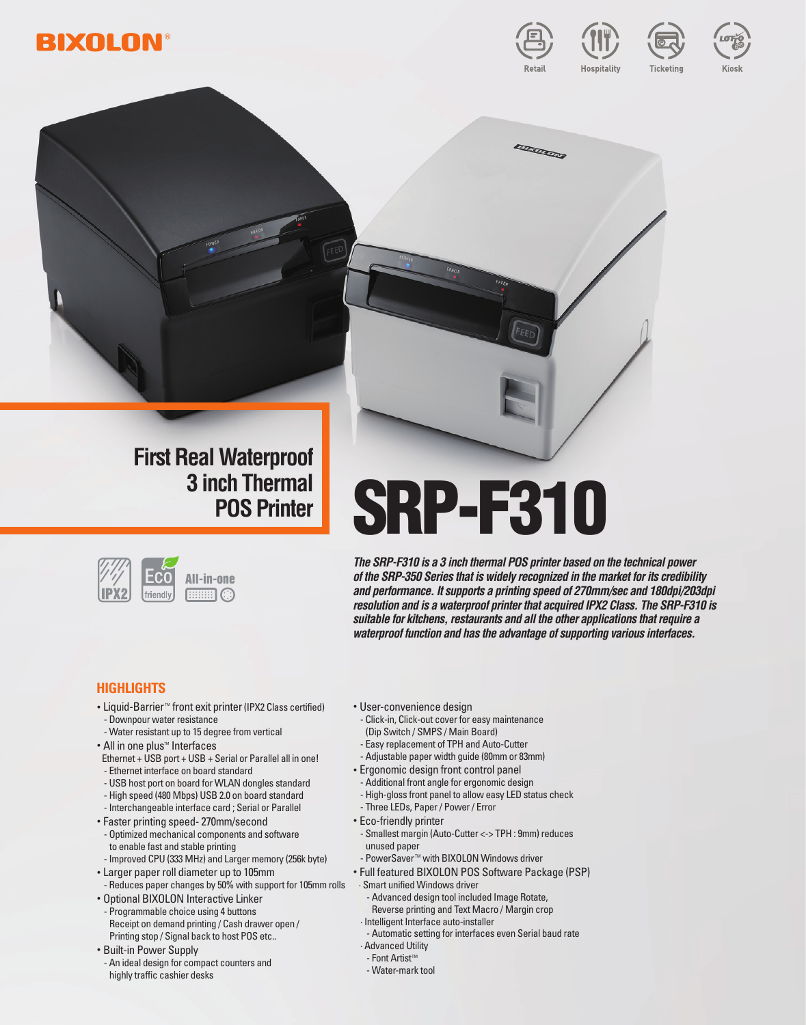





# **First Real Waterproof 3 inch Thermal**



# **SRP-F310**

*The SRP-F310 is a 3 inch thermal POS printer based on the technical power of the SRP-350 Series that is widely recognized in the market for its credibility and performance. It supports a printing speed of 270mm/sec and 180dpi/203dpi resolution and is a waterproof printer that acquired IPX2 Class. The SRP-F310 is suitable for kitchens, restaurants and all the other applications that require a waterproof function and has the advantage of supporting various interfaces.*

**CONTROL** 

# **Highlights**

- Liquid-Barrier<sup>™</sup> front exit printer (IPX2 Class certified) - Downpour water resistance
- Water resistant up to 15 degree from vertical • All in one plus™ Interfaces
- Ethernet + USB port + USB + Serial or Parallel all in one! - Ethernet interface on board standard
- USB host port on board for WLAN dongles standard
- High speed (480 Mbps) USB 2.0 on board standard
- Interchangeable interface card ; Serial or Parallel
- Faster printing speed- 270mm/second
- Optimized mechanical components and software to enable fast and stable printing
- Improved CPU (333 MHz) and Larger memory (256k byte)
- Larger paper roll diameter up to 105mm - Reduces paper changes by 50% with support for 105mm rolls
- Optional BIXOLON Interactive Linker - Programmable choice using 4 buttons Receipt on demand printing / Cash drawer open / Printing stop / Signal back to host POS etc..
- Built-in Power Supply
- An ideal design for compact counters and highly traffic cashier desks
- User-convenience design
- Click-in, Click-out cover for easy maintenance (Dip Switch / SMPS / Main Board)
- Easy replacement of TPH and Auto-Cutter
- Adjustable paper width guide (80mm or 83mm)
- Ergonomic design front control panel
	- Additional front angle for ergonomic design
	- High-gloss front panel to allow easy LED status check
	- Three LEDs, Paper / Power / Error
- Eco-friendly printer
	- Smallest margin (Auto-Cutter <-> TPH : 9mm) reduces unused paper
- PowerSaver<sup>™</sup> with BIXOLON Windows driver
- Full featured BIXOLON POS Software Package (PSP)
- · Smart unified Windows driver
	- Advanced design tool included Image Rotate,
	- Reverse printing and Text Macro / Margin crop
- · Intelligent Interface auto-installer
- Automatic setting for interfaces even Serial baud rate · Advanced Utility
- $-$  Font Artist<sup> $M$ </sup>
- Water-mark tool